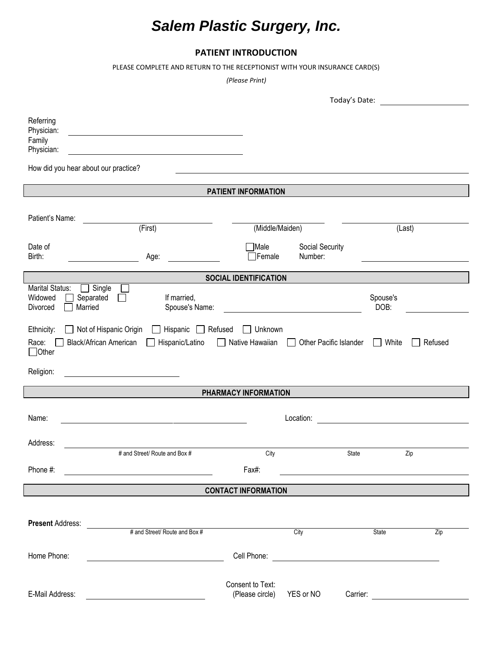## *Salem Plastic Surgery, Inc.*

## **PATIENT INTRODUCTION**

PLEASE COMPLETE AND RETURN TO THE RECEPTIONIST WITH YOUR INSURANCE CARD(S)

*(Please Print)*

|                                                            |                                                                                                                 |                                        |                            | Today's Date:                                                                                                        |         |
|------------------------------------------------------------|-----------------------------------------------------------------------------------------------------------------|----------------------------------------|----------------------------|----------------------------------------------------------------------------------------------------------------------|---------|
| Referring<br>Physician:<br>Family<br>Physician:            | <u> 1980 - Johann Stein, fransk politik (d. 1980)</u>                                                           |                                        |                            |                                                                                                                      |         |
|                                                            | How did you hear about our practice?                                                                            |                                        |                            |                                                                                                                      |         |
|                                                            |                                                                                                                 | PATIENT INFORMATION                    |                            |                                                                                                                      |         |
|                                                            |                                                                                                                 |                                        |                            |                                                                                                                      |         |
| Patient's Name:                                            |                                                                                                                 |                                        |                            |                                                                                                                      |         |
|                                                            | (First)                                                                                                         | (Middle/Maiden)                        |                            | (Last)                                                                                                               |         |
| Date of<br>Birth:                                          | Age:                                                                                                            | Male<br>Female <sup>[1]</sup>          | Social Security<br>Number: |                                                                                                                      |         |
|                                                            |                                                                                                                 | <b>SOCIAL IDENTIFICATION</b>           |                            |                                                                                                                      |         |
| <b>Marital Status:</b><br>Widowed<br>Divorced              | $\Box$ Single<br>Separated<br>If married,<br>Married<br>Spouse's Name:                                          |                                        |                            | Spouse's<br>DOB:                                                                                                     |         |
| Ethnicity:<br>$\Box$<br>Race:<br>$\Box$ Other<br>Religion: | Not of Hispanic Origin<br>$\Box$ Hispanic<br>$\Box$ Refused<br><b>Black/African American</b><br>Hispanic/Latino | Unknown<br>$\Box$<br>□ Native Hawaiian | Other Pacific Islander     | White<br>$\mathbf{1}$                                                                                                | Refused |
|                                                            |                                                                                                                 |                                        |                            |                                                                                                                      |         |
|                                                            |                                                                                                                 | PHARMACY INFORMATION                   |                            |                                                                                                                      |         |
| Name:                                                      |                                                                                                                 |                                        | Location:                  |                                                                                                                      |         |
| Address:                                                   |                                                                                                                 |                                        |                            |                                                                                                                      |         |
|                                                            | # and Street/ Route and Box #                                                                                   | City                                   |                            | <b>State</b>                                                                                                         | Zip     |
| Phone #:                                                   |                                                                                                                 | Fax#:                                  |                            |                                                                                                                      |         |
|                                                            |                                                                                                                 | <b>CONTACT INFORMATION</b>             |                            |                                                                                                                      |         |
|                                                            |                                                                                                                 |                                        |                            |                                                                                                                      |         |
| <b>Present Address:</b>                                    | # and Street/ Route and Box #                                                                                   |                                        | City                       | State                                                                                                                | Zip     |
|                                                            |                                                                                                                 |                                        |                            |                                                                                                                      |         |
| Home Phone:                                                |                                                                                                                 | Cell Phone:                            |                            | <u> 1980 - Johann Barn, mars ann an t-Amhain Aonaich an t-Aonaich an t-Aonaich ann an t-Aonaich ann an t-Aonaich</u> |         |
|                                                            |                                                                                                                 |                                        |                            |                                                                                                                      |         |
| E-Mail Address:                                            |                                                                                                                 | Consent to Text:<br>(Please circle)    | YES or NO                  | Carrier:                                                                                                             |         |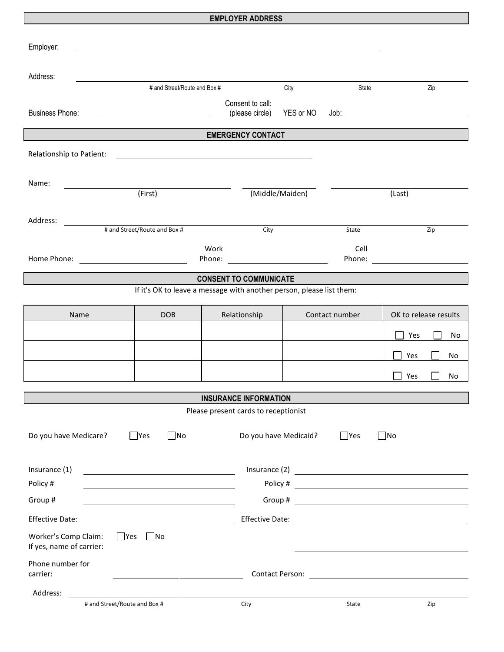## **EMPLOYER ADDRESS**

| Employer:                                        |                                                                                                                       |                                      |                       |                |                                 |  |
|--------------------------------------------------|-----------------------------------------------------------------------------------------------------------------------|--------------------------------------|-----------------------|----------------|---------------------------------|--|
| Address:                                         |                                                                                                                       |                                      |                       |                |                                 |  |
|                                                  | # and Street/Route and Box #                                                                                          |                                      | City                  | State          | Zip                             |  |
| <b>Business Phone:</b>                           |                                                                                                                       | Consent to call:<br>(please circle)  | YES or NO             |                |                                 |  |
|                                                  |                                                                                                                       | <b>EMERGENCY CONTACT</b>             |                       |                |                                 |  |
| Relationship to Patient:                         | <u> 1990 - Johann Barbara, martin amerikan basar dan berasal dalam basal dalam basal dalam basal dalam basal dala</u> |                                      |                       |                |                                 |  |
|                                                  |                                                                                                                       |                                      |                       |                |                                 |  |
| Name:                                            |                                                                                                                       |                                      |                       |                |                                 |  |
|                                                  | (First)                                                                                                               |                                      | (Middle/Maiden)       |                | (Last)                          |  |
|                                                  |                                                                                                                       |                                      |                       |                |                                 |  |
| Address:                                         | # and Street/Route and Box #                                                                                          | City                                 |                       |                |                                 |  |
|                                                  |                                                                                                                       |                                      |                       | State          | Zip                             |  |
|                                                  | Work                                                                                                                  |                                      |                       | Cell           |                                 |  |
| Home Phone:                                      | <u> 1990 - Johann Barbara, martin a</u>                                                                               |                                      |                       |                | Phone: <u>_________________</u> |  |
|                                                  |                                                                                                                       | <b>CONSENT TO COMMUNICATE</b>        |                       |                |                                 |  |
|                                                  | If it's OK to leave a message with another person, please list them:                                                  |                                      |                       |                |                                 |  |
| <b>Name</b>                                      | <b>DOB</b>                                                                                                            | Relationship                         |                       | Contact number | OK to release results           |  |
|                                                  |                                                                                                                       |                                      |                       |                |                                 |  |
|                                                  |                                                                                                                       |                                      |                       |                | Yes<br>No                       |  |
|                                                  |                                                                                                                       |                                      |                       |                | Yes<br>No                       |  |
|                                                  |                                                                                                                       |                                      |                       |                | Yes<br>No.                      |  |
|                                                  |                                                                                                                       |                                      |                       |                |                                 |  |
|                                                  |                                                                                                                       | <b>INSURANCE INFORMATION</b>         |                       |                |                                 |  |
|                                                  |                                                                                                                       | Please present cards to receptionist |                       |                |                                 |  |
| Do you have Medicare?                            | $\Box$ Yes<br>$\Box$ No                                                                                               |                                      | Do you have Medicaid? | $\Box$ Yes     | $\blacksquare$ No               |  |
|                                                  |                                                                                                                       |                                      |                       |                |                                 |  |
| Insurance (1)                                    |                                                                                                                       |                                      |                       |                | Insurance (2) <u>contracts</u>  |  |
| Policy #                                         |                                                                                                                       |                                      |                       |                | Policy # $\qquad \qquad$        |  |
| Group #                                          |                                                                                                                       |                                      |                       |                |                                 |  |
| <b>Effective Date:</b>                           |                                                                                                                       |                                      |                       |                |                                 |  |
| Worker's Comp Claim:<br>If yes, name of carrier: | $\Box$ Yes<br>$\Box$ No                                                                                               |                                      |                       |                |                                 |  |
| Phone number for<br>carrier:                     |                                                                                                                       |                                      |                       |                |                                 |  |
| Address:                                         |                                                                                                                       |                                      |                       |                |                                 |  |
|                                                  | # and Street/Route and Box #                                                                                          | City                                 |                       | State          | Zip                             |  |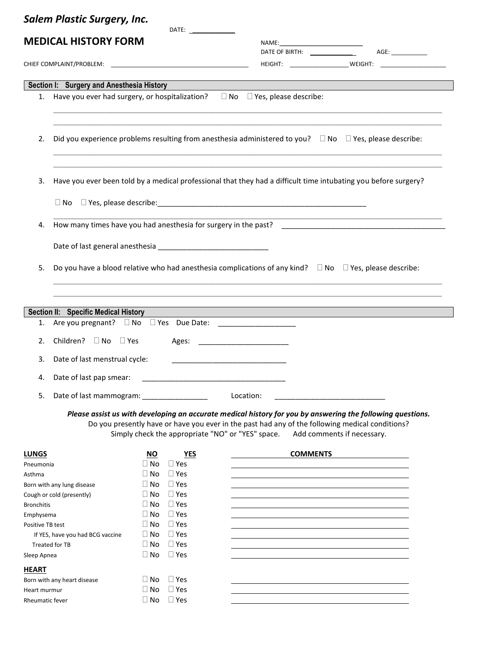|                   | <b>Salem Plastic Surgery, Inc.</b>                        |                        | DATE: _________________      |                                                                                                                                                                                                                                                                                               |
|-------------------|-----------------------------------------------------------|------------------------|------------------------------|-----------------------------------------------------------------------------------------------------------------------------------------------------------------------------------------------------------------------------------------------------------------------------------------------|
|                   | <b>MEDICAL HISTORY FORM</b>                               |                        |                              | AGE:<br>DATE OF BIRTH: _______________                                                                                                                                                                                                                                                        |
|                   |                                                           |                        |                              | HEIGHT: _____________________________WEIGHT: ___________________________________                                                                                                                                                                                                              |
|                   |                                                           |                        |                              |                                                                                                                                                                                                                                                                                               |
|                   | Section I: Surgery and Anesthesia History                 |                        |                              | 1. Have you ever had surgery, or hospitalization? $\square$ No $\square$ Yes, please describe:                                                                                                                                                                                                |
|                   |                                                           |                        |                              |                                                                                                                                                                                                                                                                                               |
| 2.                |                                                           |                        |                              | Did you experience problems resulting from anesthesia administered to you? $\Box$ No $\Box$ Yes, please describe:                                                                                                                                                                             |
| 3.                |                                                           |                        |                              | Have you ever been told by a medical professional that they had a difficult time intubating you before surgery?                                                                                                                                                                               |
|                   |                                                           |                        |                              |                                                                                                                                                                                                                                                                                               |
| 4.                |                                                           |                        |                              |                                                                                                                                                                                                                                                                                               |
|                   |                                                           |                        |                              |                                                                                                                                                                                                                                                                                               |
| 5.                |                                                           |                        |                              | Do you have a blood relative who had anesthesia complications of any kind? $\Box$ No $\Box$ Yes, please describe:                                                                                                                                                                             |
|                   |                                                           |                        |                              |                                                                                                                                                                                                                                                                                               |
|                   | Section II: Specific Medical History                      |                        |                              |                                                                                                                                                                                                                                                                                               |
|                   |                                                           |                        |                              |                                                                                                                                                                                                                                                                                               |
| 2.                | Children? □ No □ Yes                                      |                        |                              |                                                                                                                                                                                                                                                                                               |
| 3.                | Date of last menstrual cycle:                             |                        |                              |                                                                                                                                                                                                                                                                                               |
| 4.                | Date of last pap smear:                                   |                        |                              |                                                                                                                                                                                                                                                                                               |
| 5.                | Date of last mammogram:                                   |                        |                              | Location:                                                                                                                                                                                                                                                                                     |
|                   |                                                           |                        |                              | Please assist us with developing an accurate medical history for you by answering the following questions.<br>Do you presently have or have you ever in the past had any of the following medical conditions?<br>Simply check the appropriate "NO" or "YES" space. Add comments if necessary. |
| <b>LUNGS</b>      |                                                           | <b>NO</b>              | YES                          | <b>COMMENTS</b>                                                                                                                                                                                                                                                                               |
| Pneumonia         |                                                           | l I No<br>$\Box$ No    | $\sqcup$ Yes<br>$\Box$ Yes   |                                                                                                                                                                                                                                                                                               |
| Asthma            | Born with any lung disease                                | $\Box$ No              | $\sqcup$ Yes                 |                                                                                                                                                                                                                                                                                               |
|                   | Cough or cold (presently)                                 | $\Box$ No              | $\sqcup$ Yes                 |                                                                                                                                                                                                                                                                                               |
| <b>Bronchitis</b> |                                                           | $\Box$ No              | $\Box$ Yes                   |                                                                                                                                                                                                                                                                                               |
| Emphysema         |                                                           | $\Box$ No              | $\sqcup$ Yes                 |                                                                                                                                                                                                                                                                                               |
| Positive TB test  |                                                           | $\Box$ No              | $\sqcup$ Yes                 |                                                                                                                                                                                                                                                                                               |
|                   | If YES, have you had BCG vaccine<br><b>Treated for TB</b> | $\Box$ No<br>$\Box$ No | $\sqcup$ Yes<br>$\sqcup$ Yes |                                                                                                                                                                                                                                                                                               |
| Sleep Apnea       |                                                           | $\Box$ No              | $\Box$ Yes                   |                                                                                                                                                                                                                                                                                               |
|                   |                                                           |                        |                              |                                                                                                                                                                                                                                                                                               |
| <b>HEART</b>      | Born with any heart disease                               | $\Box$ No              | $\sqcup$ Yes                 |                                                                                                                                                                                                                                                                                               |
| Heart murmur      |                                                           | $\Box$ No              | $\Box$ Yes                   |                                                                                                                                                                                                                                                                                               |
| Rheumatic fever   |                                                           | $\Box$ No              | $\Box$ Yes                   |                                                                                                                                                                                                                                                                                               |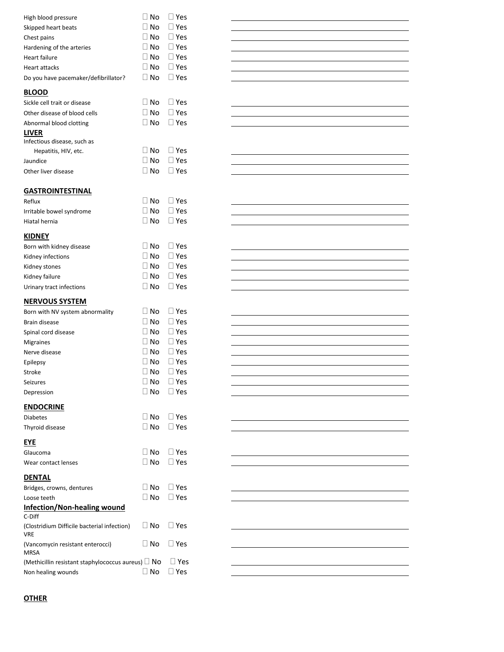| High blood pressure                                       | $\Box$ No | $\sqcup$ Yes  |
|-----------------------------------------------------------|-----------|---------------|
| Skipped heart beats                                       | ∐ No      | l I Yes       |
| Chest pains                                               | ∐ No      | $\sqcup$ Yes  |
| Hardening of the arteries                                 | $\Box$ No | $\sqcup$ Yes  |
| Heart failure                                             | ∏ No      | $\sqcup$ Yes  |
| Heart attacks                                             | $\Box$ No | $\sqcup$ Yes  |
| Do you have pacemaker/defibrillator?                      | $\Box$ No | $\sqcup$ Yes  |
|                                                           |           |               |
| <b>BLOOD</b>                                              |           |               |
| Sickle cell trait or disease                              | ∐ No      | $\sqcup$ Yes  |
| Other disease of blood cells                              | l I No    | $\sqcup$ Yes  |
| Abnormal blood clotting                                   | l No      | l I Yes       |
| <b>LIVER</b>                                              |           |               |
| Infectious disease, such as                               |           |               |
| Hepatitis, HIV, etc.                                      | ∐ No      | $\sqcup$ Yes  |
| Jaundice                                                  | $\Box$ No | l I Yes       |
| Other liver disease                                       | ∏ No      | l I Yes       |
| <b>GASTROINTESTINAL</b>                                   |           |               |
| Reflux                                                    | No        | l I Yes       |
|                                                           | No        | l I Yes       |
| Irritable bowel syndrome                                  |           | $\Box$ Yes    |
| Hiatal hernia                                             | ∣∣No      |               |
| <b>KIDNEY</b>                                             |           |               |
| Born with kidney disease                                  | ∐ No      | $\Box$ Yes    |
| Kidney infections                                         | l I No    | $\sqcup$ Yes  |
| Kidney stones                                             | ∐ No      | $\sqcup$ Yes  |
| Kidney failure                                            | l I No    | l I Yes       |
| Urinary tract infections                                  | ∐ No      | $\sqcup$ Yes  |
|                                                           |           |               |
|                                                           |           |               |
| <b>NERVOUS SYSTEM</b>                                     |           |               |
| Born with NV system abnormality                           | l I No    | $\sqcup$ Yes  |
| Brain disease                                             | $\Box$ No | $\sqcup$ Yes  |
| Spinal cord disease                                       | ∐ No      | $\square$ Yes |
| <b>Migraines</b>                                          | ∐ No      | $\square$ Yes |
| Nerve disease                                             | $\Box$ No | $\sqcup$ Yes  |
| Epilepsy                                                  | l I No    | $\sqcup$ Yes  |
| Stroke                                                    | ⊟ No      | □ Yes         |
| Seizures                                                  | ∐ No      | $\sqcup$ Yes  |
| Depression                                                | ∃ No      | l I Yes       |
| <b>ENDOCRINE</b>                                          |           |               |
| <b>Diabetes</b>                                           | ∐ No      | $\sqcup$ Yes  |
| Thyroid disease                                           | l I No    | $\Box$ Yes    |
| EYE                                                       |           |               |
| Glaucoma                                                  | ∐ No      | $\sqcup$ Yes  |
| Wear contact lenses                                       | ∐ No      | $\Box$ Yes    |
|                                                           |           |               |
| <b>DENTAL</b>                                             |           |               |
| Bridges, crowns, dentures                                 | ∐ No      | $\sqcup$ Yes  |
| Loose teeth                                               | No        | l I Yes       |
| <u>Infection/Non-healing wound</u><br>C-Diff              |           |               |
| (Clostridium Difficile bacterial infection)<br><b>VRE</b> | $\Box$ No | $\sqcup$ Yes  |
| (Vancomycin resistant enterocci)<br>MRSA                  | l I No    | $\sqcup$ Yes  |
| (Methicillin resistant staphylococcus aureus) $\Box$ No   |           | $\sqcup$ Yes  |



## **OTHER**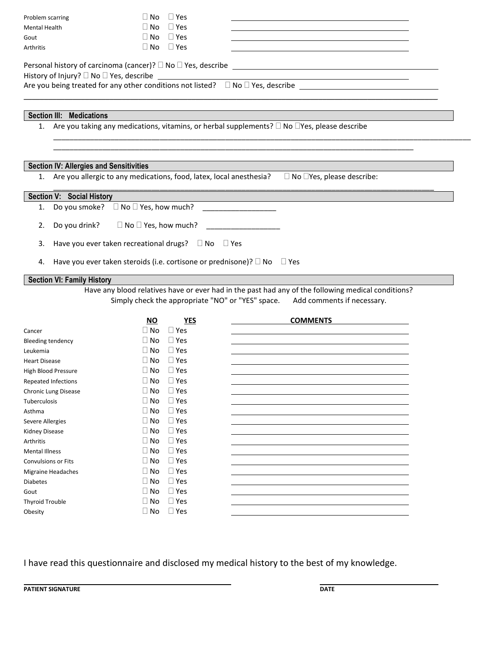| Problem scarring                                                                                              | $\Box$ Yes<br>l I No                                                                    |  |                                                                                                    |  |
|---------------------------------------------------------------------------------------------------------------|-----------------------------------------------------------------------------------------|--|----------------------------------------------------------------------------------------------------|--|
| <b>Mental Health</b>                                                                                          | $\Box$ Yes<br>$\Box$ No<br>$\Box$ Yes                                                   |  |                                                                                                    |  |
| Gout                                                                                                          | $\Box$ No<br>$\Box$ No<br>$\Box$ Yes                                                    |  |                                                                                                    |  |
| <b>Arthritis</b>                                                                                              |                                                                                         |  |                                                                                                    |  |
|                                                                                                               |                                                                                         |  |                                                                                                    |  |
| History of Injury? $\Box$ No $\Box$ Yes, describe                                                             |                                                                                         |  |                                                                                                    |  |
| Are you being treated for any other conditions not listed? $\square$ No $\square$ Yes, describe $\square$     |                                                                                         |  |                                                                                                    |  |
|                                                                                                               |                                                                                         |  |                                                                                                    |  |
|                                                                                                               |                                                                                         |  |                                                                                                    |  |
| Section III: Medications                                                                                      |                                                                                         |  |                                                                                                    |  |
| 1. Are you taking any medications, vitamins, or herbal supplements? $\Box$ No $\Box$ Yes, please describe     |                                                                                         |  |                                                                                                    |  |
|                                                                                                               |                                                                                         |  |                                                                                                    |  |
|                                                                                                               |                                                                                         |  |                                                                                                    |  |
| <b>Section IV: Allergies and Sensitivities</b>                                                                |                                                                                         |  |                                                                                                    |  |
| 1. Are you allergic to any medications, food, latex, local anesthesia? $\Box$ No $\Box$ Yes, please describe: |                                                                                         |  |                                                                                                    |  |
|                                                                                                               |                                                                                         |  |                                                                                                    |  |
| Section V: Social History                                                                                     |                                                                                         |  |                                                                                                    |  |
| 1. Do you smoke? $\square$ No $\square$ Yes, how much?                                                        |                                                                                         |  |                                                                                                    |  |
|                                                                                                               |                                                                                         |  |                                                                                                    |  |
| Do you drink?<br>2.                                                                                           |                                                                                         |  |                                                                                                    |  |
| 3.                                                                                                            | Have you ever taken recreational drugs? $\square$ No $\square$ Yes                      |  |                                                                                                    |  |
|                                                                                                               |                                                                                         |  |                                                                                                    |  |
| 4.                                                                                                            | Have you ever taken steroids (i.e. cortisone or prednisone)? $\square$ No $\square$ Yes |  |                                                                                                    |  |
|                                                                                                               |                                                                                         |  |                                                                                                    |  |
| <b>Section VI: Family History</b>                                                                             |                                                                                         |  |                                                                                                    |  |
|                                                                                                               |                                                                                         |  | Have any blood relatives have or ever had in the past had any of the following medical conditions? |  |
|                                                                                                               |                                                                                         |  | Simply check the appropriate "NO" or "YES" space. Add comments if necessary.                       |  |
|                                                                                                               | <b>YES</b><br>NO.                                                                       |  | <b>COMMENTS</b>                                                                                    |  |
| Cancer                                                                                                        | $\Box$ No<br>$\Box$ Yes                                                                 |  |                                                                                                    |  |

| <u>NO</u> | YES        | <b>COMMENTS</b> |
|-----------|------------|-----------------|
| $\Box$ No | $\Box$ Yes |                 |
| $\Box$ No | $\Box$ Yes |                 |
| $\Box$ No | $\Box$ Yes |                 |
| $\Box$ No | $\Box$ Yes |                 |
| $\Box$ No | $\Box$ Yes |                 |
| $\Box$ No | $\Box$ Yes |                 |
| $\Box$ No | $\Box$ Yes |                 |
| $\Box$ No | $\Box$ Yes |                 |
| $\Box$ No | $\Box$ Yes |                 |
| $\Box$ No | $\Box$ Yes |                 |
| $\Box$ No | $\Box$ Yes |                 |
| $\Box$ No | $\Box$ Yes |                 |
| $\Box$ No | $\Box$ Yes |                 |
| $\Box$ No | $\Box$ Yes |                 |
| $\Box$ No | $\Box$ Yes |                 |
| $\Box$ No | $\Box$ Yes |                 |
| $\Box$ No | $\Box$ Yes |                 |
| $\Box$ No | $\Box$ Yes |                 |
| $\Box$ No | $\Box$ Yes |                 |
|           |            |                 |

I have read this questionnaire and disclosed my medical history to the best of my knowledge.